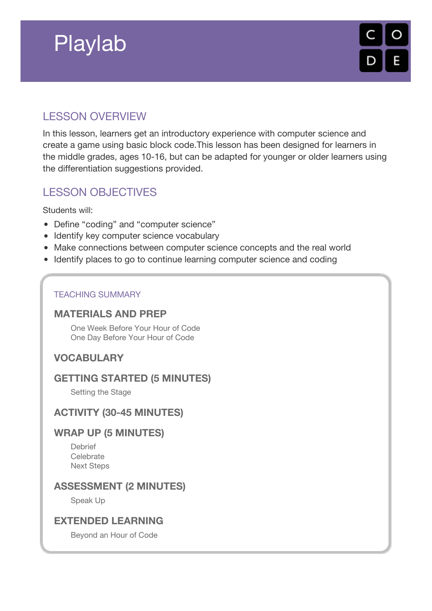# Playlab



# LESSON OVERVIEW

In this lesson, learners get an introductory experience with computer science and create a game using basic block code.This lesson has been designed for learners in the middle grades, ages 10-16, but can be adapted for younger or older learners using the differentiation suggestions provided.

# LESSON OBJECTIVES

Students will:

- Define "coding" and "computer science"
- Identify key computer science vocabulary
- Make connections between computer science concepts and the real world
- Identify places to go to continue learning computer science and coding

#### TEACHING SUMMARY

### **[MATERIALS](#page-1-0) AND PREP**

One Week [Before](#page-1-1) Your Hour of Code One Day [Before](#page-1-2) Your Hour of Code

### **[VOCABULARY](#page-1-3)**

### **GETTING STARTED (5 [MINUTES\)](#page-1-4)**

[Setting](#page-1-5) the Stage

### **ACTIVITY (30-45 [MINUTES\)](#page-2-0)**

### **WRAP UP (5 [MINUTES\)](#page-3-0)**

[Debrief](#page-3-1) **[Celebrate](#page-3-2)** Next [Steps](#page-3-3)

### **[ASSESSMENT](#page-3-4) (2 MINUTES)**

[Speak](#page-3-5) Up

### **[EXTENDED](#page-3-6) LEARNING**

[Beyond](#page-3-7) an Hour of Code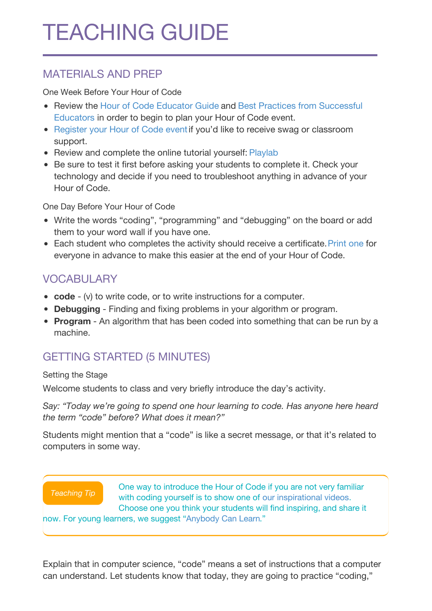# <span id="page-1-0"></span>MATERIALS AND PREP

<span id="page-1-1"></span>One Week Before Your Hour of Code

- Review the Hour of Code [Educator](http://hourofcode.com/resources/how-to/) Guide and Best Practices from [Successful](http://www.slideshare.net/TeachCode/hour-of-code-best-practices-for-successful-educators-51273466) Educators in order to begin to plan your Hour of Code event.
- [Register](http://hourofcode.com) your Hour of Code eventif you'd like to receive swag or classroom support.
- Review and complete the online tutorial yourself: [Playlab](https://studio.code.org/s/playlab/stage/1/puzzle/1)
- Be sure to test it first before asking your students to complete it. Check your technology and decide if you need to troubleshoot anything in advance of your Hour of Code.

<span id="page-1-2"></span>One Day Before Your Hour of Code

- Write the words "coding", "programming" and "debugging" on the board or add them to your word wall if you have one.
- Each student who completes the activity should receive a certificate. [Print](http://code.org/certificates) one for everyone in advance to make this easier at the end of your Hour of Code.

# <span id="page-1-3"></span>VOCABULARY

- **code** (v) to write code, or to write instructions for a computer.
- **Debugging** Finding and fixing problems in your algorithm or program.
- **Program** An algorithm that has been coded into something that can be run by a machine.

# <span id="page-1-4"></span>GETTING STARTED (5 MINUTES)

#### <span id="page-1-5"></span>Setting the Stage

Welcome students to class and very briefly introduce the day's activity.

*Say: "Today we're going to spend one hour learning to code. Has anyone here heard the term "code" before? What does it mean?"*

Students might mention that a "code" is like a secret message, or that it's related to computers in some way.



Explain that in computer science, "code" means a set of instructions that a computer can understand. Let students know that today, they are going to practice "coding,"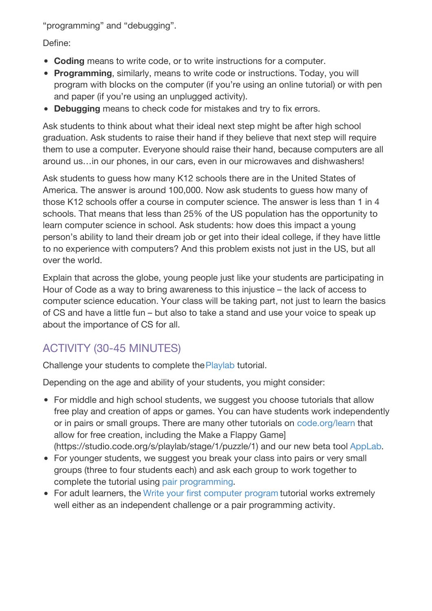"programming" and "debugging".

Define:

- **Coding** means to write code, or to write instructions for a computer.
- **Programming**, similarly, means to write code or instructions. Today, you will program with blocks on the computer (if you're using an online tutorial) or with pen and paper (if you're using an unplugged activity).
- **Debugging** means to check code for mistakes and try to fix errors.

Ask students to think about what their ideal next step might be after high school graduation. Ask students to raise their hand if they believe that next step will require them to use a computer. Everyone should raise their hand, because computers are all around us…in our phones, in our cars, even in our microwaves and dishwashers!

Ask students to guess how many K12 schools there are in the United States of America. The answer is around 100,000. Now ask students to guess how many of those K12 schools offer a course in computer science. The answer is less than 1 in 4 schools. That means that less than 25% of the US population has the opportunity to learn computer science in school. Ask students: how does this impact a young person's ability to land their dream job or get into their ideal college, if they have little to no experience with computers? And this problem exists not just in the US, but all over the world.

Explain that across the globe, young people just like your students are participating in Hour of Code as a way to bring awareness to this injustice – the lack of access to computer science education. Your class will be taking part, not just to learn the basics of CS and have a little fun – but also to take a stand and use your voice to speak up about the importance of CS for all.

# <span id="page-2-0"></span>ACTIVITY (30-45 MINUTES)

Challenge your students to complete the [Playlab](https://studio.code.org/flappy/1) tutorial.

Depending on the age and ability of your students, you might consider:

- For middle and high school students, we suggest you choose tutorials that allow free play and creation of apps or games. You can have students work independently or in pairs or small groups. There are many other tutorials on [code.org/learn](http://code.org/learn) that allow for free creation, including the Make a Flappy Game] (https://studio.code.org/s/playlab/stage/1/puzzle/1) and our new beta tool [AppLab](https://code.org/educate/applab).
- For younger students, we suggest you break your class into pairs or very small groups (three to four students each) and ask each group to work together to complete the tutorial using pair [programming](https://youtu.be/vgkahOzFH2Q).
- For adult learners, the Write your first [computer](https://studio.code.org/hoc/1) program tutorial works extremely well either as an independent challenge or a pair programming activity.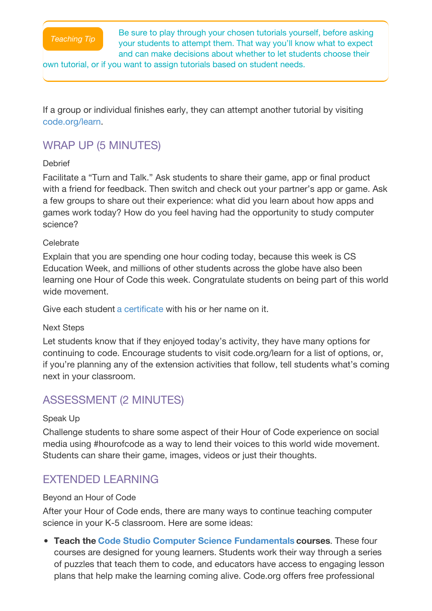

Be sure to play through your chosen tutorials yourself, before asking your students to attempt them. That way you'll know what to expect and can make decisions about whether to let students choose their

own tutorial, or if you want to assign tutorials based on student needs.

If a group or individual finishes early, they can attempt another tutorial by visiting [code.org/learn.](http://code.org/learn)

### <span id="page-3-0"></span>WRAP UP (5 MINUTES)

#### <span id="page-3-1"></span>**Debrief**

Facilitate a "Turn and Talk." Ask students to share their game, app or final product with a friend for feedback. Then switch and check out your partner's app or game. Ask a few groups to share out their experience: what did you learn about how apps and games work today? How do you feel having had the opportunity to study computer science?

#### <span id="page-3-2"></span>**Celebrate**

Explain that you are spending one hour coding today, because this week is CS Education Week, and millions of other students across the globe have also been learning one Hour of Code this week. Congratulate students on being part of this world wide movement

Give each student a [certificate](http://code.org/certificates) with his or her name on it.

#### <span id="page-3-3"></span>Next Steps

Let students know that if they enjoyed today's activity, they have many options for continuing to code. Encourage students to visit code.org/learn for a list of options, or, if you're planning any of the extension activities that follow, tell students what's coming next in your classroom.

### <span id="page-3-4"></span>ASSESSMENT (2 MINUTES)

#### <span id="page-3-5"></span>Speak Up

Challenge students to share some aspect of their Hour of Code experience on social media using #hourofcode as a way to lend their voices to this world wide movement. Students can share their game, images, videos or just their thoughts.

# <span id="page-3-6"></span>EXTENDED LEARNING

#### <span id="page-3-7"></span>Beyond an Hour of Code

After your Hour of Code ends, there are many ways to continue teaching computer science in your K-5 classroom. Here are some ideas:

**Teach the Code Studio Computer Science [Fundamentals](http://code.org/educate/k5) courses**. These four courses are designed for young learners. Students work their way through a series of puzzles that teach them to code, and educators have access to engaging lesson plans that help make the learning coming alive. Code.org offers free professional